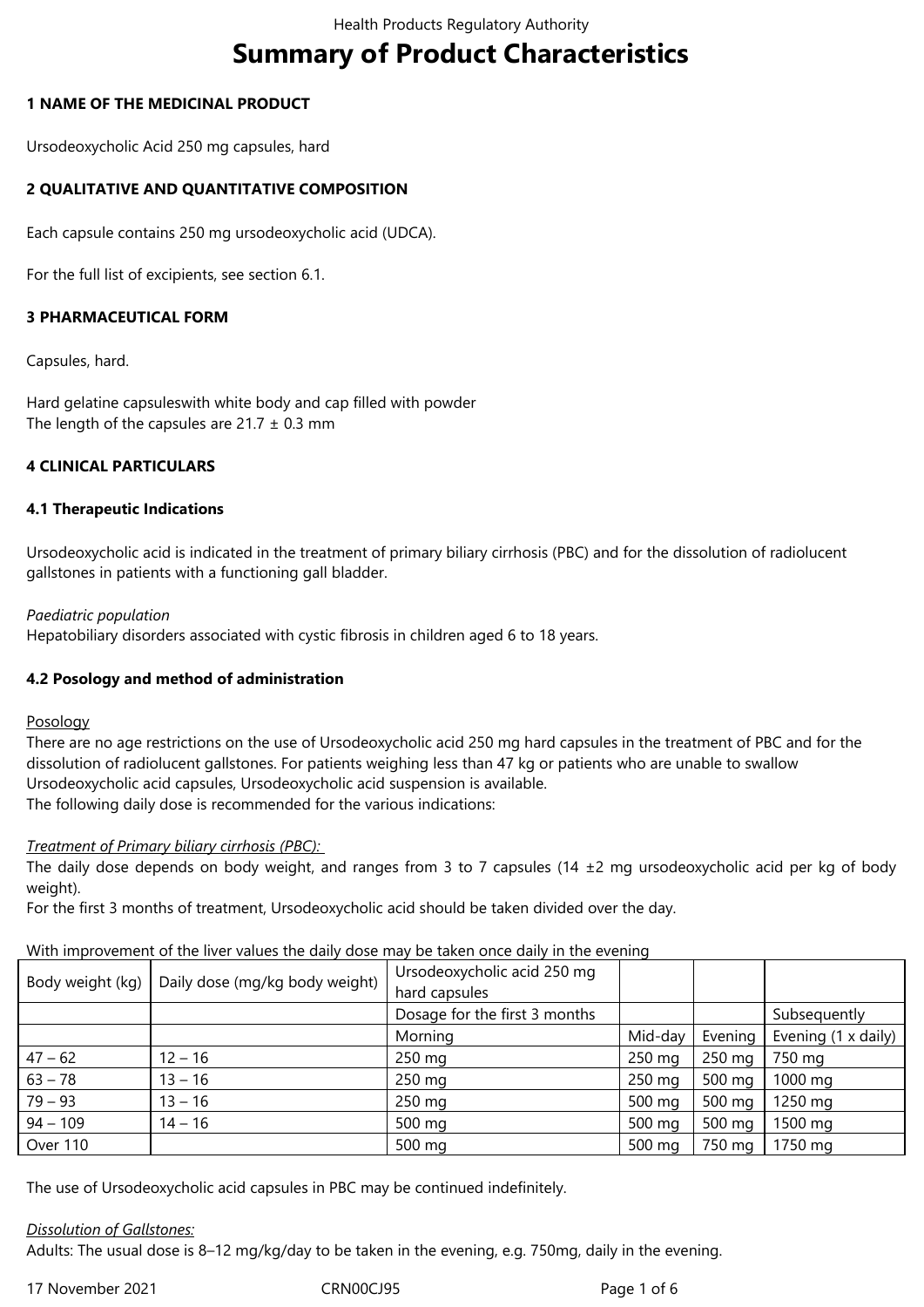# **Summary of Product Characteristics**

### **1 NAME OF THE MEDICINAL PRODUCT**

Ursodeoxycholic Acid 250 mg capsules, hard

# **2 QUALITATIVE AND QUANTITATIVE COMPOSITION**

Each capsule contains 250 mg ursodeoxycholic acid (UDCA).

For the full list of excipients, see section 6.1.

# **3 PHARMACEUTICAL FORM**

Capsules, hard.

Hard gelatine capsuleswith white body and cap filled with powder The length of the capsules are  $21.7 \pm 0.3$  mm

# **4 CLINICAL PARTICULARS**

#### **4.1 Therapeutic Indications**

Ursodeoxycholic acid is indicated in the treatment of primary biliary cirrhosis (PBC) and for the dissolution of radiolucent gallstones in patients with a functioning gall bladder.

#### *Paediatric population*

Hepatobiliary disorders associated with cystic fibrosis in children aged 6 to 18 years.

# **4.2 Posology and method of administration**

#### Posology

There are no age restrictions on the use of Ursodeoxycholic acid 250 mg hard capsules in the treatment of PBC and for the dissolution of radiolucent gallstones. For patients weighing less than 47 kg or patients who are unable to swallow Ursodeoxycholic acid capsules, Ursodeoxycholic acid suspension is available. The following daily dose is recommended for the various indications:

# *Treatment of Primary biliary cirrhosis (PBC):*

The daily dose depends on body weight, and ranges from 3 to 7 capsules (14  $\pm$ 2 mg ursodeoxycholic acid per kg of body weight).

For the first 3 months of treatment, Ursodeoxycholic acid should be taken divided over the day.

# With improvement of the liver values the daily dose may be taken once daily in the evening

| Body weight (kg) | Daily dose (mg/kg body weight) | Ursodeoxycholic acid 250 mg<br>hard capsules |         |         |                     |  |
|------------------|--------------------------------|----------------------------------------------|---------|---------|---------------------|--|
|                  |                                | Dosage for the first 3 months                |         |         | Subsequently        |  |
|                  |                                | Morning                                      | Mid-day | Evening | Evening (1 x daily) |  |
| $47 - 62$        | $12 - 16$                      | 250 mg                                       | 250 mg  | 250 mg  | 750 mg              |  |
| $63 - 78$        | $13 - 16$                      | 250 mg                                       | 250 mg  | 500 mg  | 1000 mg             |  |
| $79 - 93$        | $13 - 16$                      | 250 mg                                       | 500 mg  | 500 mg  | 1250 mg             |  |
| $94 - 109$       | $14 - 16$                      | 500 mg                                       | 500 mg  | 500 mg  | 1500 mg             |  |
| Over 110         |                                | 500 mg                                       | 500 mg  | 750 mg  | 1750 mg             |  |

The use of Ursodeoxycholic acid capsules in PBC may be continued indefinitely.

#### *Dissolution of Gallstones:*

Adults: The usual dose is 8–12 mg/kg/day to be taken in the evening, e.g. 750mg, daily in the evening.

17 November 2021 CRN00CJ95 Page 1 of 6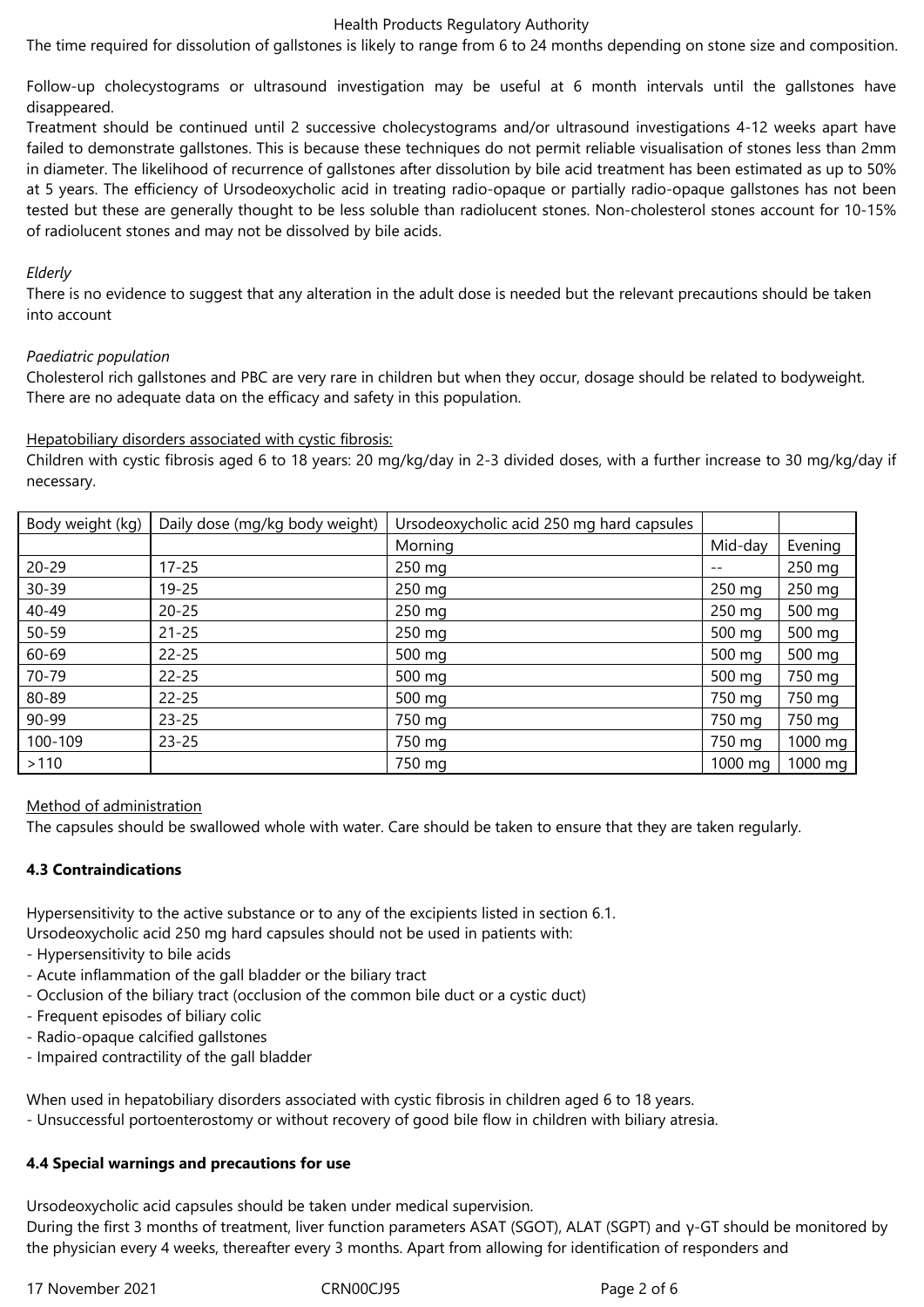#### Health Products Regulatory Authority

The time required for dissolution of gallstones is likely to range from 6 to 24 months depending on stone size and composition.

Follow-up cholecystograms or ultrasound investigation may be useful at 6 month intervals until the gallstones have disappeared.

Treatment should be continued until 2 successive cholecystograms and/or ultrasound investigations 4-12 weeks apart have failed to demonstrate gallstones. This is because these techniques do not permit reliable visualisation of stones less than 2mm in diameter. The likelihood of recurrence of gallstones after dissolution by bile acid treatment has been estimated as up to 50% at 5 years. The efficiency of Ursodeoxycholic acid in treating radio-opaque or partially radio-opaque gallstones has not been tested but these are generally thought to be less soluble than radiolucent stones. Non-cholesterol stones account for 10-15% of radiolucent stones and may not be dissolved by bile acids.

#### *Elderly*

There is no evidence to suggest that any alteration in the adult dose is needed but the relevant precautions should be taken into account

#### *Paediatric population*

Cholesterol rich gallstones and PBC are very rare in children but when they occur, dosage should be related to bodyweight. There are no adequate data on the efficacy and safety in this population.

#### Hepatobiliary disorders associated with cystic fibrosis:

Children with cystic fibrosis aged 6 to 18 years: 20 mg/kg/day in 2-3 divided doses, with a further increase to 30 mg/kg/day if necessary.

| Body weight (kg) | Daily dose (mg/kg body weight) | Ursodeoxycholic acid 250 mg hard capsules |         |         |
|------------------|--------------------------------|-------------------------------------------|---------|---------|
|                  |                                | Morning                                   | Mid-day | Evening |
| $20 - 29$        | $17 - 25$                      | 250 mg                                    |         | 250 mg  |
| $30 - 39$        | $19 - 25$                      | 250 mg                                    | 250 mg  | 250 mg  |
| 40-49            | $20 - 25$                      | 250 mg                                    | 250 mg  | 500 mg  |
| $50 - 59$        | $21 - 25$                      | 250 mg                                    | 500 mg  | 500 mg  |
| 60-69            | $22 - 25$                      | 500 mg                                    | 500 mg  | 500 mg  |
| 70-79            | $22 - 25$                      | 500 mg                                    | 500 mg  | 750 mg  |
| 80-89            | $22 - 25$                      | 500 mg                                    | 750 mg  | 750 mg  |
| 90-99            | $23 - 25$                      | 750 mg                                    | 750 mg  | 750 mg  |
| 100-109          | $23 - 25$                      | 750 mg                                    | 750 mg  | 1000 mg |
| >110             |                                | 750 mg                                    | 1000 mg | 1000 mg |

# Method of administration

The capsules should be swallowed whole with water. Care should be taken to ensure that they are taken regularly.

# **4.3 Contraindications**

Hypersensitivity to the active substance or to any of the excipients listed in section 6.1.

Ursodeoxycholic acid 250 mg hard capsules should not be used in patients with:

- Hypersensitivity to bile acids
- Acute inflammation of the gall bladder or the biliary tract
- Occlusion of the biliary tract (occlusion of the common bile duct or a cystic duct)
- Frequent episodes of biliary colic
- Radio-opaque calcified gallstones
- Impaired contractility of the gall bladder

When used in hepatobiliary disorders associated with cystic fibrosis in children aged 6 to 18 years.

- Unsuccessful portoenterostomy or without recovery of good bile flow in children with biliary atresia.

# **4.4 Special warnings and precautions for use**

Ursodeoxycholic acid capsules should be taken under medical supervision.

During the first 3 months of treatment, liver function parameters ASAT (SGOT), ALAT (SGPT) and γ-GT should be monitored by the physician every 4 weeks, thereafter every 3 months. Apart from allowing for identification of responders and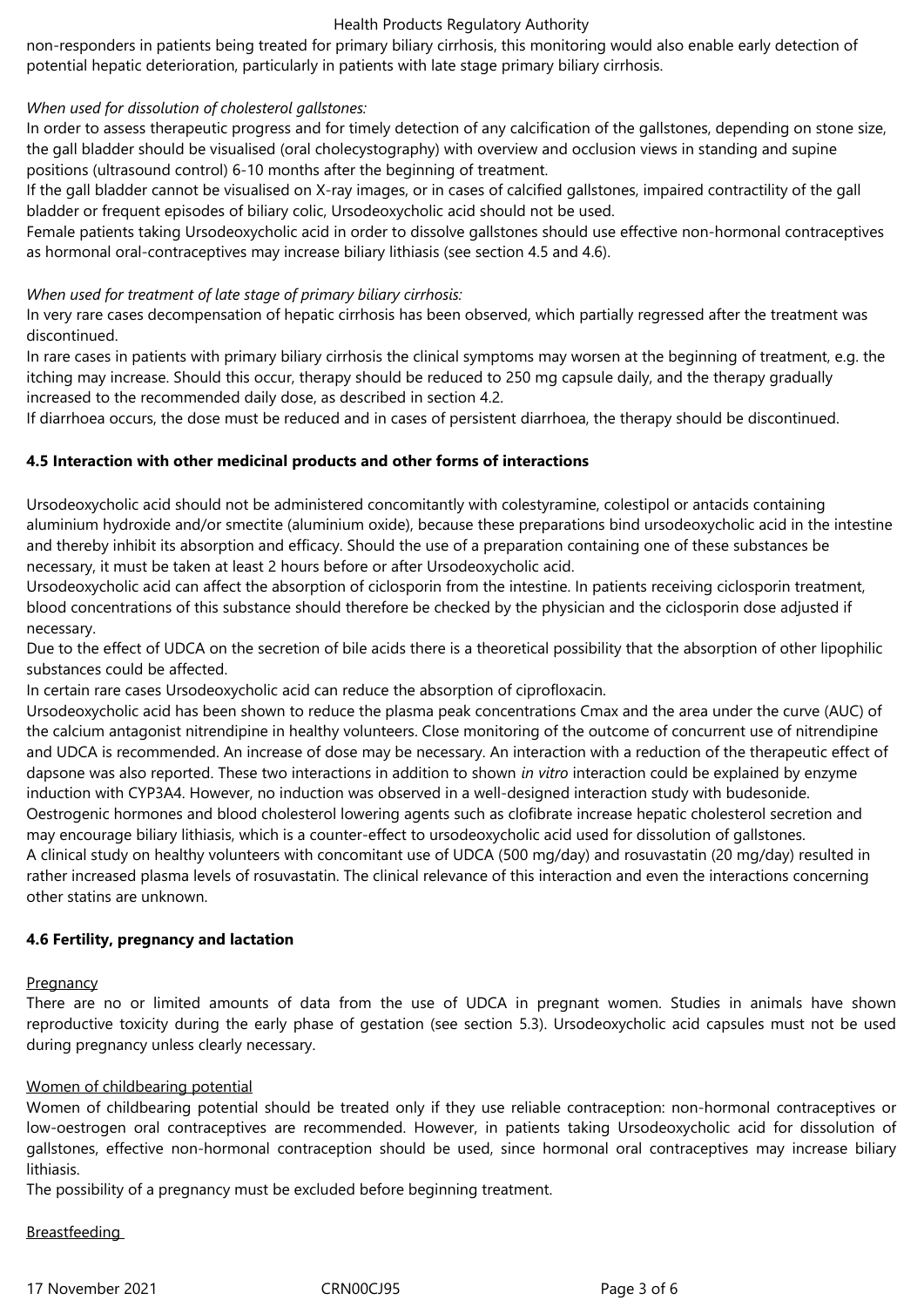#### Health Products Regulatory Authority

non-responders in patients being treated for primary biliary cirrhosis, this monitoring would also enable early detection of potential hepatic deterioration, particularly in patients with late stage primary biliary cirrhosis.

#### *When used for dissolution of cholesterol gallstones:*

In order to assess therapeutic progress and for timely detection of any calcification of the gallstones, depending on stone size, the gall bladder should be visualised (oral cholecystography) with overview and occlusion views in standing and supine positions (ultrasound control) 6-10 months after the beginning of treatment.

If the gall bladder cannot be visualised on X-ray images, or in cases of calcified gallstones, impaired contractility of the gall bladder or frequent episodes of biliary colic, Ursodeoxycholic acid should not be used.

Female patients taking Ursodeoxycholic acid in order to dissolve gallstones should use effective non-hormonal contraceptives as hormonal oral-contraceptives may increase biliary lithiasis (see section 4.5 and 4.6).

#### *When used for treatment of late stage of primary biliary cirrhosis:*

In very rare cases decompensation of hepatic cirrhosis has been observed, which partially regressed after the treatment was discontinued.

In rare cases in patients with primary biliary cirrhosis the clinical symptoms may worsen at the beginning of treatment, e.g. the itching may increase. Should this occur, therapy should be reduced to 250 mg capsule daily, and the therapy gradually increased to the recommended daily dose, as described in section 4.2.

If diarrhoea occurs, the dose must be reduced and in cases of persistent diarrhoea, the therapy should be discontinued.

#### **4.5 Interaction with other medicinal products and other forms of interactions**

Ursodeoxycholic acid should not be administered concomitantly with colestyramine, colestipol or antacids containing aluminium hydroxide and/or smectite (aluminium oxide), because these preparations bind ursodeoxycholic acid in the intestine and thereby inhibit its absorption and efficacy. Should the use of a preparation containing one of these substances be necessary, it must be taken at least 2 hours before or after Ursodeoxycholic acid.

Ursodeoxycholic acid can affect the absorption of ciclosporin from the intestine. In patients receiving ciclosporin treatment, blood concentrations of this substance should therefore be checked by the physician and the ciclosporin dose adjusted if necessary.

Due to the effect of UDCA on the secretion of bile acids there is a theoretical possibility that the absorption of other lipophilic substances could be affected.

In certain rare cases Ursodeoxycholic acid can reduce the absorption of ciprofloxacin.

Ursodeoxycholic acid has been shown to reduce the plasma peak concentrations Cmax and the area under the curve (AUC) of the calcium antagonist nitrendipine in healthy volunteers. Close monitoring of the outcome of concurrent use of nitrendipine and UDCA is recommended. An increase of dose may be necessary. An interaction with a reduction of the therapeutic effect of dapsone was also reported. These two interactions in addition to shown *in vitro* interaction could be explained by enzyme induction with CYP3A4. However, no induction was observed in a well-designed interaction study with budesonide.

Oestrogenic hormones and blood cholesterol lowering agents such as clofibrate increase hepatic cholesterol secretion and may encourage biliary lithiasis, which is a counter-effect to ursodeoxycholic acid used for dissolution of gallstones.

A clinical study on healthy volunteers with concomitant use of UDCA (500 mg/day) and rosuvastatin (20 mg/day) resulted in rather increased plasma levels of rosuvastatin. The clinical relevance of this interaction and even the interactions concerning other statins are unknown.

#### **4.6 Fertility, pregnancy and lactation**

#### **Pregnancy**

There are no or limited amounts of data from the use of UDCA in pregnant women. Studies in animals have shown reproductive toxicity during the early phase of gestation (see section 5.3). Ursodeoxycholic acid capsules must not be used during pregnancy unless clearly necessary.

#### Women of childbearing potential

Women of childbearing potential should be treated only if they use reliable contraception: non-hormonal contraceptives or low-oestrogen oral contraceptives are recommended. However, in patients taking Ursodeoxycholic acid for dissolution of gallstones, effective non-hormonal contraception should be used, since hormonal oral contraceptives may increase biliary lithiasis.

The possibility of a pregnancy must be excluded before beginning treatment.

# Breastfeeding

17 November 2021 CRN00CJ95 Page 3 of 6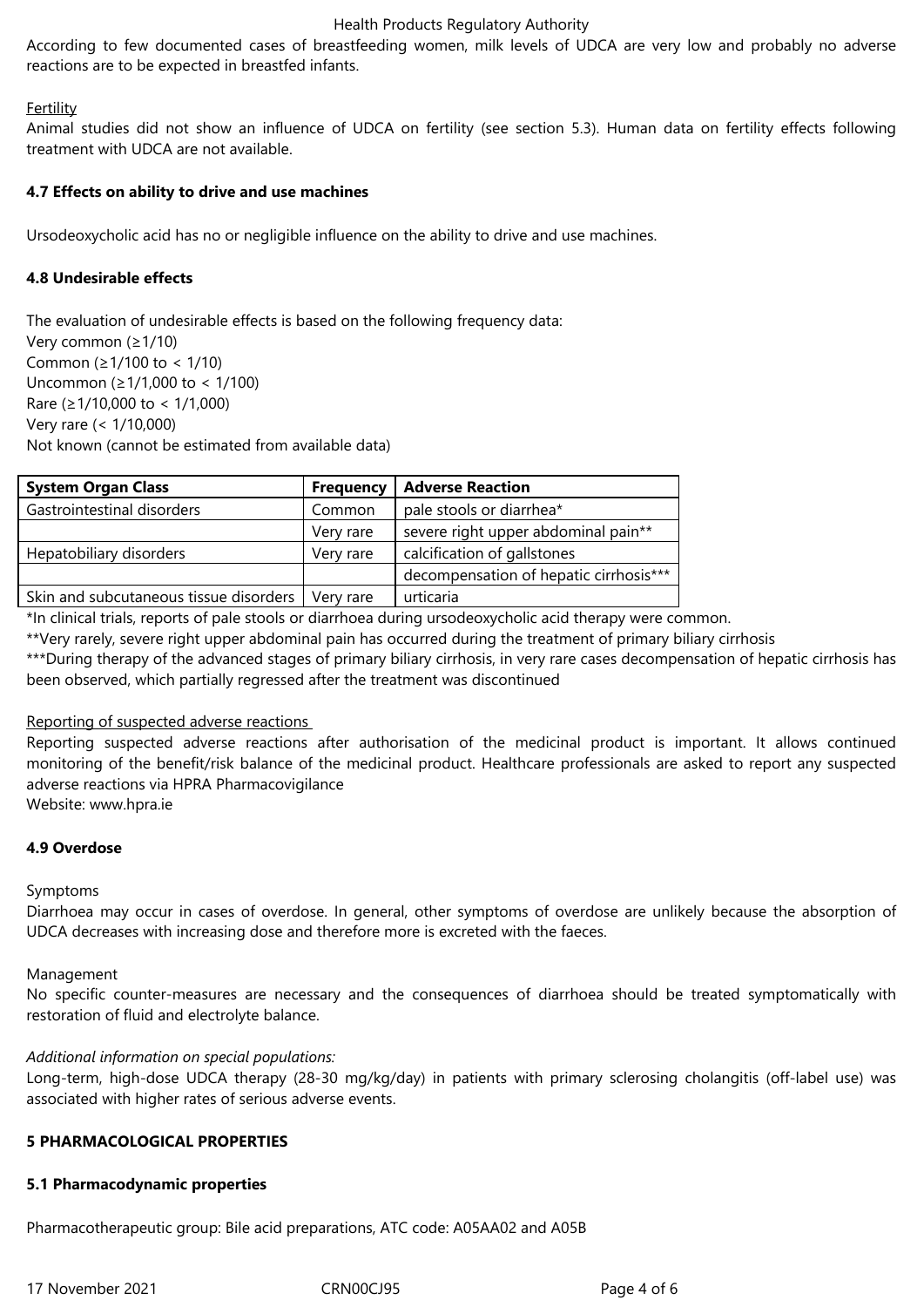#### Health Products Regulatory Authority

According to few documented cases of breastfeeding women, milk levels of UDCA are very low and probably no adverse reactions are to be expected in breastfed infants.

#### **Fertility**

Animal studies did not show an influence of UDCA on fertility (see section 5.3). Human data on fertility effects following treatment with UDCA are not available.

#### **4.7 Effects on ability to drive and use machines**

Ursodeoxycholic acid has no or negligible influence on the ability to drive and use machines.

#### **4.8 Undesirable effects**

The evaluation of undesirable effects is based on the following frequency data: Very common (≥1/10) Common (≥1/100 to < 1/10) Uncommon (≥1/1,000 to < 1/100) Rare (≥1/10,000 to < 1/1,000) Very rare (< 1/10,000) Not known (cannot be estimated from available data)

| <b>System Organ Class</b>              | <b>Frequency</b> | <b>Adverse Reaction</b>                |
|----------------------------------------|------------------|----------------------------------------|
| Gastrointestinal disorders             | Common           | pale stools or diarrhea*               |
|                                        | Very rare        | severe right upper abdominal pain**    |
| Hepatobiliary disorders                | Very rare        | calcification of gallstones            |
|                                        |                  | decompensation of hepatic cirrhosis*** |
| Skin and subcutaneous tissue disorders | Verv rare        | urticaria                              |

\*In clinical trials, reports of pale stools or diarrhoea during ursodeoxycholic acid therapy were common.

\*\*Very rarely, severe right upper abdominal pain has occurred during the treatment of primary biliary cirrhosis

\*\*\*During therapy of the advanced stages of primary biliary cirrhosis, in very rare cases decompensation of hepatic cirrhosis has been observed, which partially regressed after the treatment was discontinued

#### Reporting of suspected adverse reactions

Reporting suspected adverse reactions after authorisation of the medicinal product is important. It allows continued monitoring of the benefit/risk balance of the medicinal product. Healthcare professionals are asked to report any suspected adverse reactions via HPRA Pharmacovigilance

Website: www.hpra.ie

#### **4.9 Overdose**

#### Symptoms

Diarrhoea may occur in cases of overdose. In general, other symptoms of overdose are unlikely because the absorption of UDCA decreases with increasing dose and therefore more is excreted with the faeces.

#### Management

No specific counter-measures are necessary and the consequences of diarrhoea should be treated symptomatically with restoration of fluid and electrolyte balance.

#### *Additional information on special populations:*

Long-term, high-dose UDCA therapy (28-30 mg/kg/day) in patients with primary sclerosing cholangitis (off-label use) was associated with higher rates of serious adverse events.

#### **5 PHARMACOLOGICAL PROPERTIES**

#### **5.1 Pharmacodynamic properties**

Pharmacotherapeutic group: Bile acid preparations, ATC code: A05AA02 and A05B

17 November 2021 CRN00CJ95 Page 4 of 6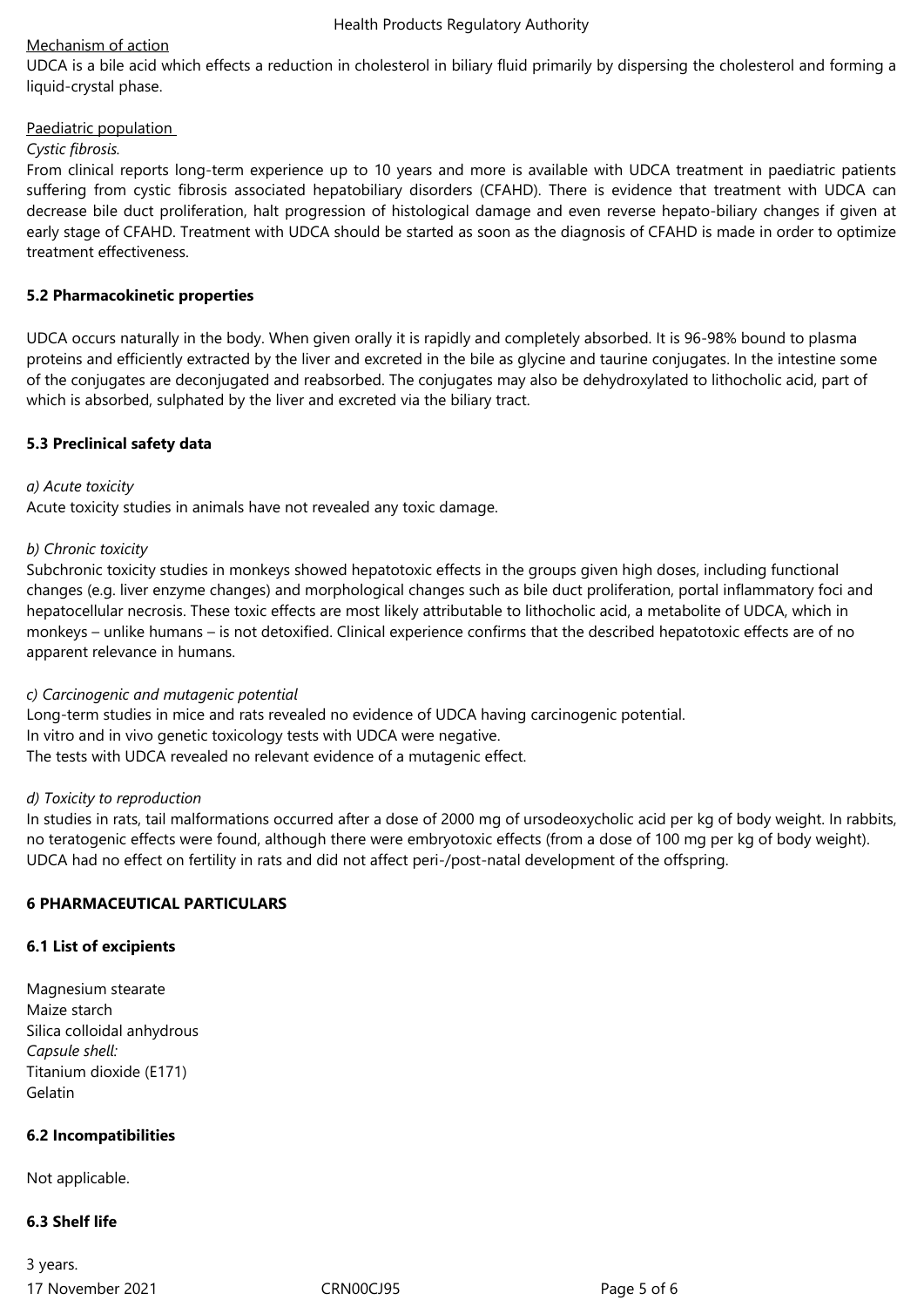# Mechanism of action

UDCA is a bile acid which effects a reduction in cholesterol in biliary fluid primarily by dispersing the cholesterol and forming a liquid-crystal phase.

# Paediatric population

# *Cystic fibrosis.*

From clinical reports long-term experience up to 10 years and more is available with UDCA treatment in paediatric patients suffering from cystic fibrosis associated hepatobiliary disorders (CFAHD). There is evidence that treatment with UDCA can decrease bile duct proliferation, halt progression of histological damage and even reverse hepato-biliary changes if given at early stage of CFAHD. Treatment with UDCA should be started as soon as the diagnosis of CFAHD is made in order to optimize treatment effectiveness.

# **5.2 Pharmacokinetic properties**

UDCA occurs naturally in the body. When given orally it is rapidly and completely absorbed. It is 96-98% bound to plasma proteins and efficiently extracted by the liver and excreted in the bile as glycine and taurine conjugates. In the intestine some of the conjugates are deconjugated and reabsorbed. The conjugates may also be dehydroxylated to lithocholic acid, part of which is absorbed, sulphated by the liver and excreted via the biliary tract.

# **5.3 Preclinical safety data**

# *a) Acute toxicity*

Acute toxicity studies in animals have not revealed any toxic damage.

# *b) Chronic toxicity*

Subchronic toxicity studies in monkeys showed hepatotoxic effects in the groups given high doses, including functional changes (e.g. liver enzyme changes) and morphological changes such as bile duct proliferation, portal inflammatory foci and hepatocellular necrosis. These toxic effects are most likely attributable to lithocholic acid, a metabolite of UDCA, which in monkeys – unlike humans – is not detoxified. Clinical experience confirms that the described hepatotoxic effects are of no apparent relevance in humans.

# *c) Carcinogenic and mutagenic potential*

Long-term studies in mice and rats revealed no evidence of UDCA having carcinogenic potential. In vitro and in vivo genetic toxicology tests with UDCA were negative. The tests with UDCA revealed no relevant evidence of a mutagenic effect.

# *d) Toxicity to reproduction*

In studies in rats, tail malformations occurred after a dose of 2000 mg of ursodeoxycholic acid per kg of body weight. In rabbits, no teratogenic effects were found, although there were embryotoxic effects (from a dose of 100 mg per kg of body weight). UDCA had no effect on fertility in rats and did not affect peri-/post-natal development of the offspring.

# **6 PHARMACEUTICAL PARTICULARS**

# **6.1 List of excipients**

Magnesium stearate Maize starch Silica colloidal anhydrous *Capsule shell:*  Titanium dioxide (E171) Gelatin

# **6.2 Incompatibilities**

Not applicable.

# **6.3 Shelf life**

17 November 2021 CRN00CJ95 Page 5 of 6 3 years.